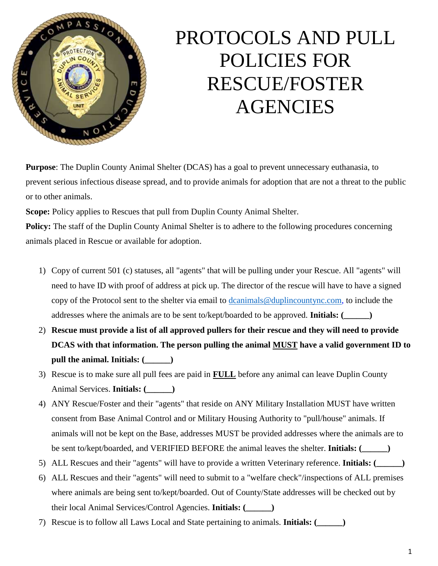

# PROTOCOLS AND PULL POLICIES FOR RESCUE/FOSTER AGENCIES

**Purpose**: The Duplin County Animal Shelter (DCAS) has a goal to prevent unnecessary euthanasia, to prevent serious infectious disease spread, and to provide animals for adoption that are not a threat to the public or to other animals.

**Scope:** Policy applies to Rescues that pull from Duplin County Animal Shelter.

**Policy:** The staff of the Duplin County Animal Shelter is to adhere to the following procedures concerning animals placed in Rescue or available for adoption.

- 1) Copy of current 501 (c) statuses, all "agents" that will be pulling under your Rescue. All "agents" will need to have ID with proof of address at pick up. The director of the rescue will have to have a signed copy of the Protocol sent to the shelter via email to [dcanimals@duplincountync.com, t](mailto:dcanimals@duplincountync.com)o include the addresses where the animals are to be sent to/kept/boarded to be approved. **Initials: (\_\_\_\_\_\_)**
- 2) **Rescue must provide a list of all approved pullers for their rescue and they will need to provide DCAS with that information. The person pulling the animal MUST have a valid government ID to pull the animal. Initials: (\_\_\_\_\_\_)**
- 3) Rescue is to make sure all pull fees are paid in **FULL** before any animal can leave Duplin County Animal Services. **Initials: (\_\_\_\_\_\_)**
- 4) ANY Rescue/Foster and their "agents" that reside on ANY Military Installation MUST have written consent from Base Animal Control and or Military Housing Authority to "pull/house" animals. If animals will not be kept on the Base, addresses MUST be provided addresses where the animals are to be sent to/kept/boarded, and VERIFIED BEFORE the animal leaves the shelter. **Initials: (\_\_\_\_\_\_)**
- 5) ALL Rescues and their "agents" will have to provide a written Veterinary reference. **Initials: (\_\_\_\_\_\_)**
- 6) ALL Rescues and their "agents" will need to submit to a "welfare check"/inspections of ALL premises where animals are being sent to/kept/boarded. Out of County/State addresses will be checked out by their local Animal Services/Control Agencies. **Initials: (\_\_\_\_\_\_)**
- 7) Rescue is to follow all Laws Local and State pertaining to animals. **Initials: (\_\_\_\_\_\_)**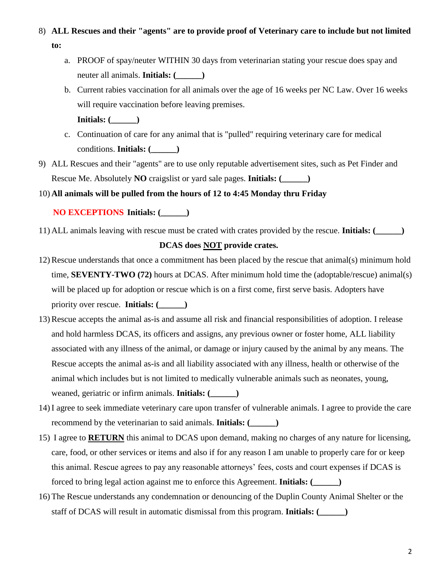## 8) **ALL Rescues and their "agents" are to provide proof of Veterinary care to include but not limited to:**

- a. PROOF of spay/neuter WITHIN 30 days from veterinarian stating your rescue does spay and neuter all animals. **Initials: (\_\_\_\_\_\_)**
- b. Current rabies vaccination for all animals over the age of 16 weeks per NC Law. Over 16 weeks will require vaccination before leaving premises.
	- **Initials: (\_\_\_\_\_\_)**
- c. Continuation of care for any animal that is "pulled" requiring veterinary care for medical conditions. **Initials: (\_\_\_\_\_\_)**
- 9) ALL Rescues and their "agents" are to use only reputable advertisement sites, such as Pet Finder and Rescue Me. Absolutely **NO** craigslist or yard sale pages. **Initials: (\_\_\_\_\_\_)**

#### 10) **All animals will be pulled from the hours of 12 to 4:45 Monday thru Friday**

### **NO EXCEPTIONS Initials: (\_\_\_\_\_\_)**

11) ALL animals leaving with rescue must be crated with crates provided by the rescue. **Initials: (\_\_\_\_\_\_)**

#### **DCAS does NOT provide crates.**

- 12) Rescue understands that once a commitment has been placed by the rescue that animal(s) minimum hold time, **SEVENTY-TWO (72)** hours at DCAS. After minimum hold time the (adoptable/rescue) animal(s) will be placed up for adoption or rescue which is on a first come, first serve basis. Adopters have priority over rescue. **Initials: (\_\_\_\_\_\_)**
- 13) Rescue accepts the animal as-is and assume all risk and financial responsibilities of adoption. I release and hold harmless DCAS, its officers and assigns, any previous owner or foster home, ALL liability associated with any illness of the animal, or damage or injury caused by the animal by any means. The Rescue accepts the animal as-is and all liability associated with any illness, health or otherwise of the animal which includes but is not limited to medically vulnerable animals such as neonates, young, weaned, geriatric or infirm animals. **Initials: (\_\_\_\_\_\_)**
- 14) I agree to seek immediate veterinary care upon transfer of vulnerable animals. I agree to provide the care recommend by the veterinarian to said animals. **Initials: (\_\_\_\_\_\_)**
- 15) I agree to **RETURN** this animal to DCAS upon demand, making no charges of any nature for licensing, care, food, or other services or items and also if for any reason I am unable to properly care for or keep this animal. Rescue agrees to pay any reasonable attorneys' fees, costs and court expenses if DCAS is forced to bring legal action against me to enforce this Agreement. **Initials: (\_\_\_\_\_\_)**
- 16) The Rescue understands any condemnation or denouncing of the Duplin County Animal Shelter or the staff of DCAS will result in automatic dismissal from this program. **Initials: (\_\_\_\_\_\_)**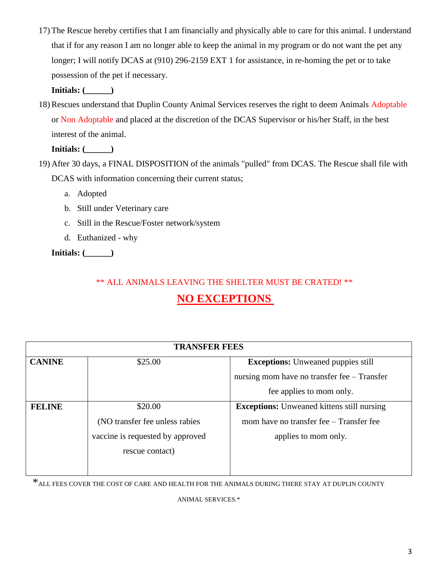17) The Rescue hereby certifies that I am financially and physically able to care for this animal. I understand that if for any reason I am no longer able to keep the animal in my program or do not want the pet any longer; I will notify DCAS at (910) 296-2159 EXT 1 for assistance, in re-homing the pet or to take possession of the pet if necessary.

**Initials: (\_\_\_\_\_\_)**

18) Rescues understand that Duplin County Animal Services reserves the right to deem Animals Adoptable or Non Adoptable and placed at the discretion of the DCAS Supervisor or his/her Staff, in the best interest of the animal.

**Initials: (\_\_\_\_\_\_)**

- 19) After 30 days, a FINAL DISPOSITION of the animals "pulled" from DCAS. The Rescue shall file with DCAS with information concerning their current status;
	- a. Adopted
	- b. Still under Veterinary care
	- c. Still in the Rescue/Foster network/system
	- d. Euthanized why

**Initials: (\_\_\_\_\_\_)**

## \*\* ALL ANIMALS LEAVING THE SHELTER MUST BE CRATED! \*\*

## **NO EXCEPTIONS**

| <b>TRANSFER FEES</b> |                                  |                                                   |  |  |
|----------------------|----------------------------------|---------------------------------------------------|--|--|
| <b>CANINE</b>        | \$25.00                          | <b>Exceptions:</b> Unweaned puppies still         |  |  |
|                      |                                  | nursing mom have no transfer fee – Transfer       |  |  |
|                      |                                  | fee applies to mom only.                          |  |  |
| <b>FELINE</b>        | \$20.00                          | <b>Exceptions:</b> Unweaned kittens still nursing |  |  |
|                      | (NO transfer fee unless rabies)  | mom have no transfer fee – Transfer fee           |  |  |
|                      | vaccine is requested by approved | applies to mom only.                              |  |  |
|                      | rescue contact)                  |                                                   |  |  |
|                      |                                  |                                                   |  |  |

\*ALL FEES COVER THE COST OF CARE AND HEALTH FOR THE ANIMALS DURING THERE STAY AT DUPLIN COUNTY

ANIMAL SERVICES.\*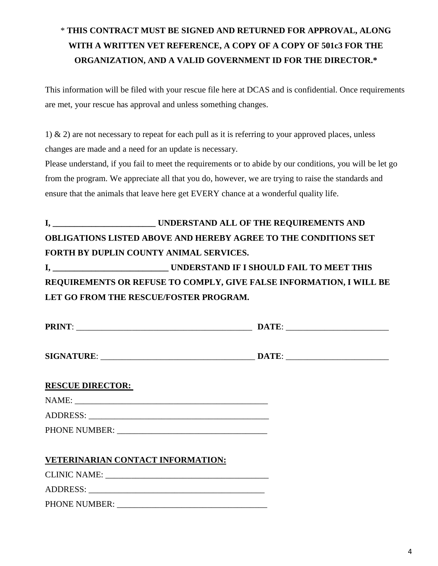## \* **THIS CONTRACT MUST BE SIGNED AND RETURNED FOR APPROVAL, ALONG WITH A WRITTEN VET REFERENCE, A COPY OF A COPY OF 501c3 FOR THE ORGANIZATION, AND A VALID GOVERNMENT ID FOR THE DIRECTOR.\***

This information will be filed with your rescue file here at DCAS and is confidential. Once requirements are met, your rescue has approval and unless something changes.

1)  $\&$  2) are not necessary to repeat for each pull as it is referring to your approved places, unless changes are made and a need for an update is necessary.

Please understand, if you fail to meet the requirements or to abide by our conditions, you will be let go from the program. We appreciate all that you do, however, we are trying to raise the standards and ensure that the animals that leave here get EVERY chance at a wonderful quality life.

# **I, \_\_\_\_\_\_\_\_\_\_\_\_\_\_\_\_\_\_\_\_\_\_\_\_ UNDERSTAND ALL OF THE REQUIREMENTS AND OBLIGATIONS LISTED ABOVE AND HEREBY AGREE TO THE CONDITIONS SET FORTH BY DUPLIN COUNTY ANIMAL SERVICES.**

**I, \_\_\_\_\_\_\_\_\_\_\_\_\_\_\_\_\_\_\_\_\_\_\_\_\_\_\_ UNDERSTAND IF I SHOULD FAIL TO MEET THIS REQUIREMENTS OR REFUSE TO COMPLY, GIVE FALSE INFORMATION, I WILL BE LET GO FROM THE RESCUE/FOSTER PROGRAM.** 

| <b>RESCUE DIRECTOR:</b>           |  |
|-----------------------------------|--|
|                                   |  |
|                                   |  |
|                                   |  |
| VETERINARIAN CONTACT INFORMATION: |  |
|                                   |  |
|                                   |  |
| PHONE NUMBER:                     |  |